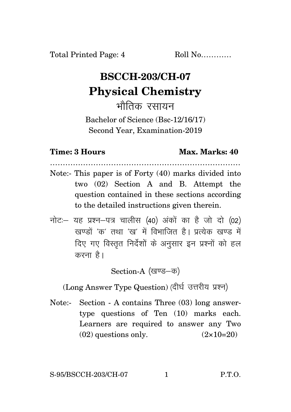## **BSCCH-203/CH-07 Physical Chemistry**

भौतिक रसायन

Bachelor of Science (Bsc-12/16/17) Second Year, Examination-2019

## **Time: 3 Hours Max. Marks: 40**

- ………………………………………………………………… Note:- This paper is of Forty (40) marks divided into two (02) Section A and B. Attempt the question contained in these sections according to the detailed instructions given therein.
- $\vec{\eta}$ नोटः यह प्रश्न-पत्र चालीस (40) अंकों का है जो दो (02)  $\vec{k}$ खण्डों 'क' तथा 'ख' में विभाजित है। पत्येक खण्ड में दिए गए विस्तृत निर्देशों के अनुसार इन प्रश्नों को हल करना $\hat{g}$ ।

Section-A (खण्ड–क)

(Long Answer Type Question) (दीर्घ उत्तरीय प्रश्न)

Note:- Section - A contains Three (03) long answertype questions of Ten (10) marks each. Learners are required to answer any Two  $(02)$  questions only.  $(2 \times 10=20)$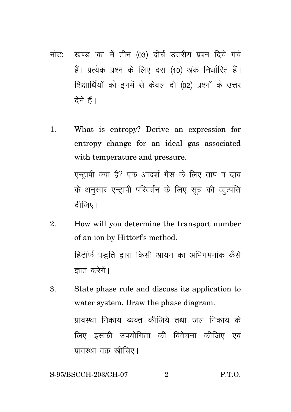- नोट:- खण्ड 'क' में तीन (03) दीर्घ उत्तरीय प्रश्न दिये गये हैं। प्रत्येक प्रश्न के लिए दस (10) अंक निर्धारित हैं। शिक्षार्थियों को इनमें से केवल दो (02) प्रश्नों के उत्तर देने हैं।
- What is entropy? Derive an expression for  $1<sub>1</sub>$ entropy change for an ideal gas associated with temperature and pressure.

एन्टापी क्या है? एक आदर्श गैस के लिए ताप व दाब के अनुसार एन्ट्रापी परिवर्तन के लिए सूत्र की व्युत्पत्ति दीजिए।

- $\mathfrak{D}$ How will you determine the transport number of an ion by Hittorf's method. हिटॉर्फ पद्धति द्वारा किसी आयन का अभिगमनांक कैसे ज्ञात करेगें।
- State phase rule and discuss its application to 3. water system. Draw the phase diagram. प्रावस्था निकाय व्यक्त कीजिये तथा जल निकाय के लिए इसकी उपयोगिता की विवेचना कीजिए एवं प्रावस्था वक्र खींचिए।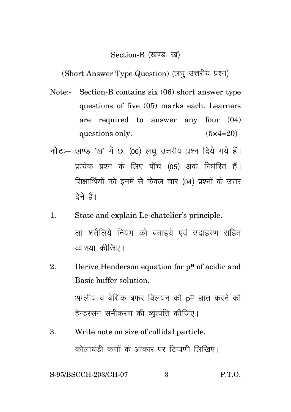## Section-B (खण्ड-ख)

(Short Answer Type Question) (लघु उत्तरीय प्रश्न)

- Note:- Section-B contains six (06) short answer type questions of five (05) marks each. Learners are required to answer any four (04) questions only.  $(5 \times 4=20)$
- **नोट**: खण्ड 'ख' में छः (06) लघु उत्तरीय प्रश्न दिये गये हैं। प्रत्येक प्रश्न के लिए पाँच (05) अंक निर्धरित हैं। शिक्षार्थियों को इनमें से केवल चार (04) प्रश्नों के उत्तर देने हैं।
- 1. State and explain Le-chatelier's principle. ला शतैलिये नियम को बताइये एवं उदाहरण सहित व्याख्या कीजिए।
- 2. Derive Henderson equation for  $p<sup>H</sup>$  of acidic and Basic buffer solution. अम्लीय व बेसिक बफर विलयन की  $p<sup>H</sup>$  ज्ञात करने की हेन्डरसन समीकरण की व्युत्पत्ति कीजिए।
- 3. Write note on size of collidal particle. कोलायड़ी कणों के आकार पर टिप्पणी लिखिए।

S-95/BSCCH-203/CH-07 3 P.T.O.